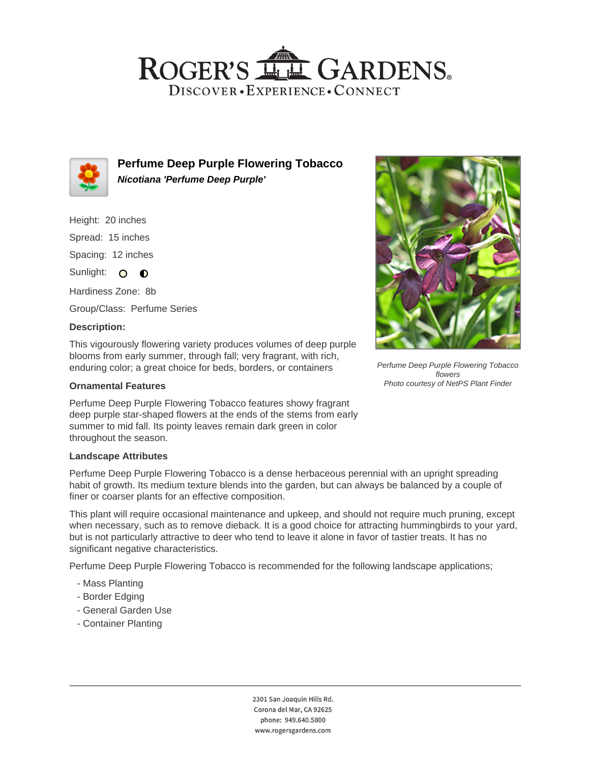## ROGER'S LL GARDENS. DISCOVER · EXPERIENCE · CONNECT



**Perfume Deep Purple Flowering Tobacco Nicotiana 'Perfume Deep Purple'**

Height: 20 inches Spread: 15 inches Spacing: 12 inches

Sunlight: O O

Hardiness Zone: 8b Group/Class: Perfume Series

### **Description:**

This vigourously flowering variety produces volumes of deep purple blooms from early summer, through fall; very fragrant, with rich, enduring color; a great choice for beds, borders, or containers

#### **Ornamental Features**

Perfume Deep Purple Flowering Tobacco features showy fragrant deep purple star-shaped flowers at the ends of the stems from early summer to mid fall. Its pointy leaves remain dark green in color throughout the season.

#### **Landscape Attributes**

Perfume Deep Purple Flowering Tobacco is a dense herbaceous perennial with an upright spreading habit of growth. Its medium texture blends into the garden, but can always be balanced by a couple of finer or coarser plants for an effective composition.

This plant will require occasional maintenance and upkeep, and should not require much pruning, except when necessary, such as to remove dieback. It is a good choice for attracting hummingbirds to your yard, but is not particularly attractive to deer who tend to leave it alone in favor of tastier treats. It has no significant negative characteristics.

Perfume Deep Purple Flowering Tobacco is recommended for the following landscape applications;

- Mass Planting
- Border Edging
- General Garden Use
- Container Planting





Perfume Deep Purple Flowering Tobacco flowers Photo courtesy of NetPS Plant Finder